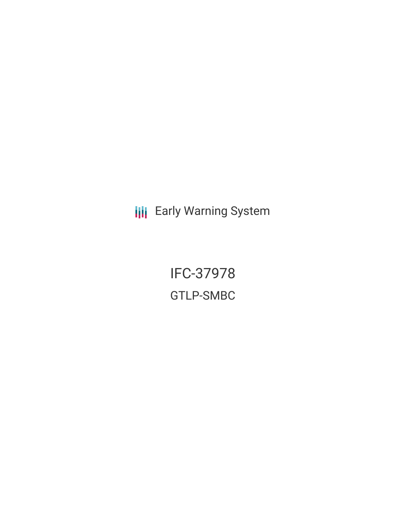**III** Early Warning System

IFC-37978 GTLP-SMBC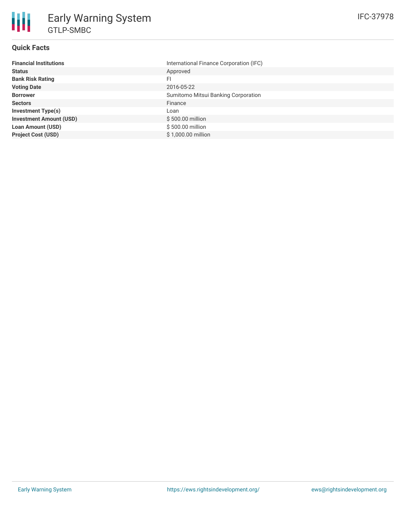

# **Quick Facts**

| <b>Financial Institutions</b>  | International Finance Corporation (IFC) |
|--------------------------------|-----------------------------------------|
| <b>Status</b>                  | Approved                                |
| <b>Bank Risk Rating</b>        | FI.                                     |
| <b>Voting Date</b>             | 2016-05-22                              |
| <b>Borrower</b>                | Sumitomo Mitsui Banking Corporation     |
| <b>Sectors</b>                 | Finance                                 |
| <b>Investment Type(s)</b>      | Loan                                    |
| <b>Investment Amount (USD)</b> | \$500.00 million                        |
| <b>Loan Amount (USD)</b>       | \$500.00 million                        |
| <b>Project Cost (USD)</b>      | \$1,000.00 million                      |
|                                |                                         |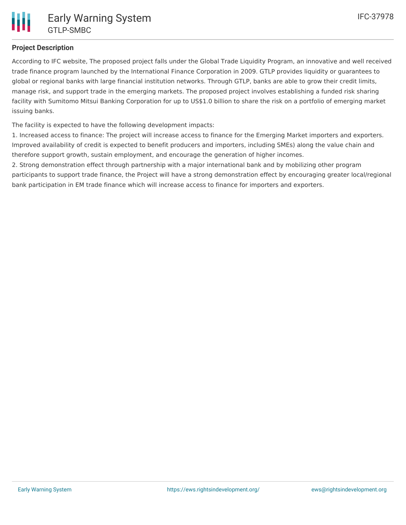## **Project Description**

According to IFC website, The proposed project falls under the Global Trade Liquidity Program, an innovative and well received trade finance program launched by the International Finance Corporation in 2009. GTLP provides liquidity or guarantees to global or regional banks with large financial institution networks. Through GTLP, banks are able to grow their credit limits, manage risk, and support trade in the emerging markets. The proposed project involves establishing a funded risk sharing facility with Sumitomo Mitsui Banking Corporation for up to US\$1.0 billion to share the risk on a portfolio of emerging market issuing banks.

The facility is expected to have the following development impacts:

1. Increased access to finance: The project will increase access to finance for the Emerging Market importers and exporters. Improved availability of credit is expected to benefit producers and importers, including SMEs) along the value chain and therefore support growth, sustain employment, and encourage the generation of higher incomes.

2. Strong demonstration effect through partnership with a major international bank and by mobilizing other program participants to support trade finance, the Project will have a strong demonstration effect by encouraging greater local/regional bank participation in EM trade finance which will increase access to finance for importers and exporters.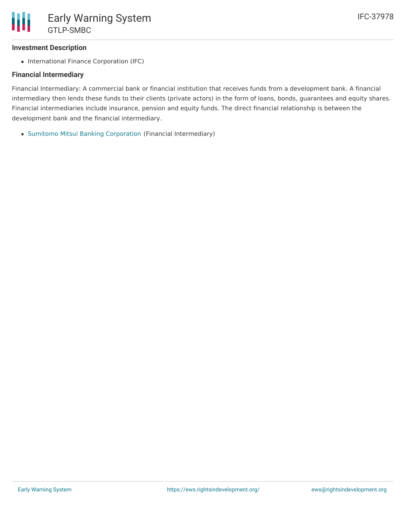### **Investment Description**

• International Finance Corporation (IFC)

### **Financial Intermediary**

Financial Intermediary: A commercial bank or financial institution that receives funds from a development bank. A financial intermediary then lends these funds to their clients (private actors) in the form of loans, bonds, guarantees and equity shares. Financial intermediaries include insurance, pension and equity funds. The direct financial relationship is between the development bank and the financial intermediary.

Sumitomo Mitsui Banking [Corporation](file:///actor/1018/) (Financial Intermediary)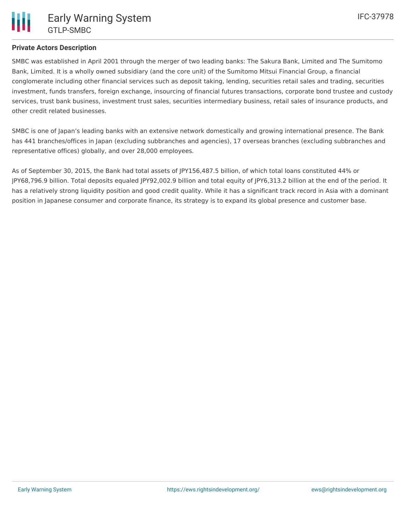SMBC was established in April 2001 through the merger of two leading banks: The Sakura Bank, Limited and The Sumitomo Bank, Limited. It is a wholly owned subsidiary (and the core unit) of the Sumitomo Mitsui Financial Group, a financial conglomerate including other financial services such as deposit taking, lending, securities retail sales and trading, securities investment, funds transfers, foreign exchange, insourcing of financial futures transactions, corporate bond trustee and custody services, trust bank business, investment trust sales, securities intermediary business, retail sales of insurance products, and other credit related businesses.

SMBC is one of Japan's leading banks with an extensive network domestically and growing international presence. The Bank has 441 branches/offices in Japan (excluding subbranches and agencies), 17 overseas branches (excluding subbranches and representative offices) globally, and over 28,000 employees.

As of September 30, 2015, the Bank had total assets of JPY156,487.5 billion, of which total loans constituted 44% or JPY68,796.9 billion. Total deposits equaled JPY92,002.9 billion and total equity of JPY6,313.2 billion at the end of the period. It has a relatively strong liquidity position and good credit quality. While it has a significant track record in Asia with a dominant position in Japanese consumer and corporate finance, its strategy is to expand its global presence and customer base.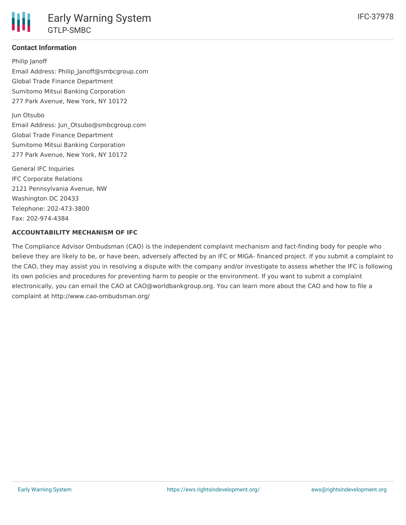#### **Contact Information**

Philip Janoff Email Address: Philip\_Janoff@smbcgroup.com Global Trade Finance Department Sumitomo Mitsui Banking Corporation 277 Park Avenue, New York, NY 10172

Jun Otsubo Email Address: Jun\_Otsubo@smbcgroup.com Global Trade Finance Department Sumitomo Mitsui Banking Corporation 277 Park Avenue, New York, NY 10172

General IFC Inquiries IFC Corporate Relations 2121 Pennsylvania Avenue, NW Washington DC 20433 Telephone: 202-473-3800 Fax: 202-974-4384

#### **ACCOUNTABILITY MECHANISM OF IFC**

The Compliance Advisor Ombudsman (CAO) is the independent complaint mechanism and fact-finding body for people who believe they are likely to be, or have been, adversely affected by an IFC or MIGA- financed project. If you submit a complaint to the CAO, they may assist you in resolving a dispute with the company and/or investigate to assess whether the IFC is following its own policies and procedures for preventing harm to people or the environment. If you want to submit a complaint electronically, you can email the CAO at CAO@worldbankgroup.org. You can learn more about the CAO and how to file a complaint at http://www.cao-ombudsman.org/